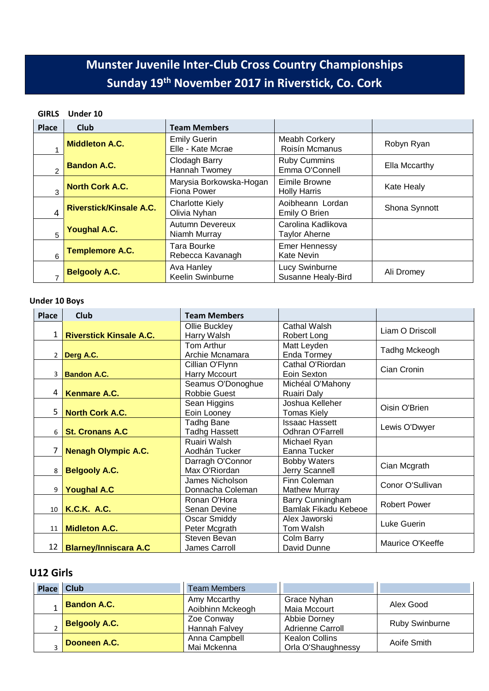# **Munster Juvenile Inter-Club Cross Country Championships Sunday 19th November 2017 in Riverstick, Co. Cork**

# **GIRLS Under 10**

| <b>Place</b> | <b>Club</b>                    | <b>Team Members</b>                           |                                            |               |
|--------------|--------------------------------|-----------------------------------------------|--------------------------------------------|---------------|
|              | <b>Middleton A.C.</b>          | <b>Emily Guerin</b><br>Elle - Kate Mcrae      | Meabh Corkery<br><b>Roisín Mcmanus</b>     | Robyn Ryan    |
|              | <b>Bandon A.C.</b>             | Clodagh Barry<br>Hannah Twomey                | <b>Ruby Cummins</b><br>Emma O'Connell      | Ella Mccarthy |
| 3            | <b>North Cork A.C.</b>         | Marysia Borkowska-Hogan<br><b>Fiona Power</b> | Eimile Browne<br><b>Holly Harris</b>       | Kate Healy    |
| 4            | <b>Riverstick/Kinsale A.C.</b> | <b>Charlotte Kiely</b><br>Olivia Nyhan        | Aoibheann Lordan<br>Emily O Brien          | Shona Synnott |
| 5            | <b>Youghal A.C.</b>            | <b>Autumn Devereux</b><br>Niamh Murray        | Carolina Kadlikova<br><b>Taylor Aherne</b> |               |
| 6            | <b>Templemore A.C.</b>         | Tara Bourke<br>Rebecca Kavanagh               | <b>Emer Hennessy</b><br><b>Kate Nevin</b>  |               |
|              | <b>Belgooly A.C.</b>           | Ava Hanley<br>Keelin Swinburne                | Lucy Swinburne<br>Susanne Healy-Bird       | Ali Dromey    |

# **Under 10 Boys**

| <b>Place</b>    | <b>Club</b>                    | <b>Team Members</b>  |                         |                     |
|-----------------|--------------------------------|----------------------|-------------------------|---------------------|
|                 |                                | Ollie Buckley        | Cathal Walsh            | Liam O Driscoll     |
| 1 <sup>1</sup>  | <b>Riverstick Kinsale A.C.</b> | Harry Walsh          | Robert Long             |                     |
|                 |                                | Tom Arthur           | Matt Leyden             | Tadhg Mckeogh       |
|                 | $2$ Derg A.C.                  | Archie Mcnamara      | Enda Tormey             |                     |
|                 |                                | Cillian O'Flynn      | Cathal O'Riordan        | Cian Cronin         |
|                 | 3 <b>Bandon A.C.</b>           | Harry Mccourt        | Eoin Sexton             |                     |
|                 |                                | Seamus O'Donoghue    | Michéal O'Mahony        |                     |
| 4               | <b>Kenmare A.C.</b>            | <b>Robbie Guest</b>  | Ruairi Daly             |                     |
|                 |                                | Sean Higgins         | Joshua Kelleher         | Oisin O'Brien       |
| 5               | <b>North Cork A.C.</b>         | Eoin Looney          | <b>Tomas Kiely</b>      |                     |
|                 |                                | <b>Tadhg Bane</b>    | <b>Issaac Hassett</b>   | Lewis O'Dwyer       |
| 6               | <b>St. Cronans A.C.</b>        | <b>Tadhg Hassett</b> | <b>Odhran O'Farrell</b> |                     |
|                 |                                | Ruairi Walsh         | Michael Ryan            |                     |
|                 | <b>Nenagh Olympic A.C.</b>     | Aodhán Tucker        | Eanna Tucker            |                     |
|                 |                                | Darragh O'Connor     | <b>Bobby Waters</b>     | Cian Mcgrath        |
| 8               | <b>Belgooly A.C.</b>           | Max O'Riordan        | Jerry Scannell          |                     |
|                 |                                | James Nicholson      | Finn Coleman            | Conor O'Sullivan    |
| 9               | <b>Youghal A.C</b>             | Donnacha Coleman     | <b>Mathew Murray</b>    |                     |
|                 |                                | Ronan O'Hora         | Barry Cunningham        | <b>Robert Power</b> |
|                 | 10   K.C.K. A.C.               | Senan Devine         | Bamlak Fikadu Kebeoe    |                     |
|                 |                                | Oscar Smiddy         | Alex Jaworski           | Luke Guerin         |
| 11              | <b>Midleton A.C.</b>           | Peter Mcgrath        | Tom Walsh               |                     |
|                 |                                | Steven Bevan         | Colm Barry              | Maurice O'Keeffe    |
| 12 <sup>1</sup> | <b>Blarney/Inniscara A.C</b>   | James Carroll        | David Dunne             |                     |

# **U12 Girls**

| Place   Club |                      | <b>Team Members</b>              |                                             |                       |
|--------------|----------------------|----------------------------------|---------------------------------------------|-----------------------|
|              | <b>Bandon A.C.</b>   | Amy Mccarthy<br>Aoibhinn Mckeogh | Grace Nyhan<br>Maia Mccourt                 | Alex Good             |
|              | <b>Belgooly A.C.</b> | Zoe Conway<br>Hannah Falvey      | Abbie Dorney<br><b>Adrienne Carroll</b>     | <b>Ruby Swinburne</b> |
|              | Dooneen A.C.         | Anna Campbell<br>Mai Mckenna     | <b>Kealon Collins</b><br>Orla O'Shaughnessy | Aoife Smith           |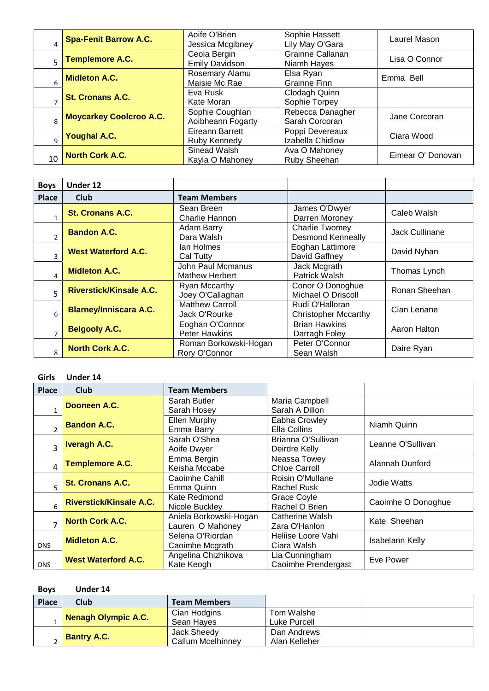|                | <b>Spa-Fenit Barrow A.C.</b>   | Aoife O'Brien<br>Jessica Mcgibney     | Sophie Hassett<br>Lily May O'Gara   | Laurel Mason      |
|----------------|--------------------------------|---------------------------------------|-------------------------------------|-------------------|
| $\overline{5}$ | Templemore A.C.                | Ceola Bergin<br><b>Emily Davidson</b> | Grainne Callanan<br>Niamh Hayes     | Lisa O Connor     |
|                | <b>Midleton A.C.</b>           | Rosemary Alamu<br>Maisie Mc Rae       | Elsa Ryan<br>Grainne Finn           | Emma Bell         |
|                | <b>St. Cronans A.C.</b>        | Eva Rusk<br>Kate Moran                | Clodagh Quinn<br>Sophie Torpey      |                   |
|                | <b>Moycarkey Coolcroo A.C.</b> | Sophie Coughlan<br>Aoibheann Fogarty  | Rebecca Danagher<br>Sarah Corcoran  | Jane Corcoran     |
|                | <b>Youghal A.C.</b>            | Eireann Barrett<br>Ruby Kennedy       | Poppi Devereaux<br>Izabella Chidlow | Ciara Wood        |
| 10             | North Cork A.C.                | Sinead Walsh<br>Kayla O Mahoney       | Ava O Mahoney<br>Ruby Sheehan       | Eimear O' Donovan |

| <b>Boys</b>  | Under 12                       |                                            |                                                   |                |
|--------------|--------------------------------|--------------------------------------------|---------------------------------------------------|----------------|
| <b>Place</b> | Club                           | <b>Team Members</b>                        |                                                   |                |
|              | <b>St. Cronans A.C.</b>        | Sean Breen<br>Charlie Hannon               | James O'Dwyer<br>Darren Moroney                   | Caleb Walsh    |
|              | <b>Bandon A.C.</b>             | Adam Barry<br>Dara Walsh                   | <b>Charlie Twomey</b><br><b>Desmond Kenneally</b> | Jack Cullinane |
|              | <b>West Waterford A.C.</b>     | lan Holmes<br>Cal Tutty                    | Eoghan Lattimore<br>David Gaffney                 | David Nyhan    |
| Δ            | <b>Midleton A.C.</b>           | John Paul Mcmanus<br><b>Mathew Herbert</b> | Jack Mcgrath<br>Patrick Walsh                     | Thomas Lynch   |
| 5            | <b>Riverstick/Kinsale A.C.</b> | Ryan Mccarthy<br>Joey O'Callaghan          | Conor O Donoghue<br>Michael O Driscoll            | Ronan Sheehan  |
| 6            | <b>Blarney/Inniscara A.C.</b>  | <b>Matthew Carroll</b><br>Jack O'Rourke    | Rudi O'Halloran<br><b>Christopher Mccarthy</b>    | Cian Lenane    |
|              | <b>Belgooly A.C.</b>           | Eoghan O'Connor<br>Peter Hawkins           | <b>Brian Hawkins</b><br>Darragh Foley             | Aaron Halton   |
| 8            | <b>North Cork A.C.</b>         | Roman Borkowski-Hogan<br>Rory O'Connor     | Peter O'Connor<br>Sean Walsh                      | Daire Ryan     |

#### **Girls Under 14**

| <b>Place</b>            | <b>Club</b>                    | <b>Team Members</b>                        |                                         |                    |
|-------------------------|--------------------------------|--------------------------------------------|-----------------------------------------|--------------------|
|                         | Dooneen A.C.                   | Sarah Butler<br>Sarah Hosey                | Maria Campbell<br>Sarah A Dillon        |                    |
|                         | <b>Bandon A.C.</b>             | Ellen Murphy<br>Emma Barry                 | Eabha Crowley<br>Ella Collins           | Niamh Quinn        |
| $\overline{\mathbf{z}}$ | <b>Iveragh A.C.</b>            | Sarah O'Shea<br>Aoife Dwyer                | Brianna O'Sullivan<br>Deirdre Kelly     | Leanne O'Sullivan  |
| 4                       | <b>Templemore A.C.</b>         | Emma Bergin<br>Keisha Mccabe               | Neassa Towey<br><b>Chloe Carroll</b>    | Alannah Dunford    |
|                         | <b>St. Cronans A.C.</b>        | Caoimhe Cahill<br>Emma Quinn               | Roisin O'Mullane<br>Rachel Rusk         | Jodie Watts        |
| 6                       | <b>Riverstick/Kinsale A.C.</b> | Kate Redmond<br>Nicole Buckley             | Grace Coyle<br>Rachel O Brien           | Caoimhe O Donoghue |
|                         | <b>North Cork A.C.</b>         | Aniela Borkowski-Hogan<br>Lauren O Mahoney | <b>Catherine Walsh</b><br>Zara O'Hanlon | Kate Sheehan       |
| <b>DNS</b>              | <b>Midleton A.C.</b>           | Selena O'Riordan<br>Caoimhe Mcgrath        | Heliise Loore Vahi<br>Ciara Walsh       | Isabelann Kelly    |
| <b>DNS</b>              | <b>West Waterford A.C.</b>     | Angelina Chizhikova<br>Kate Keogh          | Lia Cunningham<br>Caoimhe Prendergast   | Eve Power          |

| <b>Boys</b> | Under 14            |                          |               |  |
|-------------|---------------------|--------------------------|---------------|--|
| Place       | Club                | <b>Team Members</b>      |               |  |
|             | Nenagh Olympic A.C. | Cian Hodgins             | Tom Walshe    |  |
|             |                     | Sean Hayes               | Luke Purcell  |  |
|             |                     | Jack Sheedy              | Dan Andrews   |  |
|             | <b>Bantry A.C.</b>  | <b>Callum Mcelhinney</b> | Alan Kelleher |  |